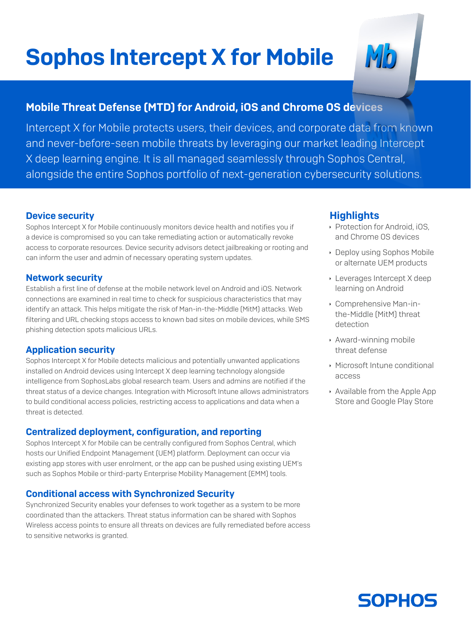# Sophos Intercept X for Mobile

MÖ

# Mobile Threat Defense (MTD) for Android, iOS and Chrome OS devices

Intercept X for Mobile protects users, their devices, and corporate data from known and never-before-seen mobile threats by leveraging our market leading Intercept X deep learning engine. It is all managed seamlessly through Sophos Central, alongside the entire Sophos portfolio of next-generation cybersecurity solutions.

#### Device security

Sophos Intercept X for Mobile continuously monitors device health and notifies you if a device is compromised so you can take remediating action or automatically revoke access to corporate resources. Device security advisors detect jailbreaking or rooting and can inform the user and admin of necessary operating system updates.

#### Network security

Establish a first line of defense at the mobile network level on Android and iOS. Network connections are examined in real time to check for suspicious characteristics that may identify an attack. This helps mitigate the risk of Man-in-the-Middle (MitM) attacks. Web filtering and URL checking stops access to known bad sites on mobile devices, while SMS phishing detection spots malicious URLs.

## Application security

Sophos Intercept X for Mobile detects malicious and potentially unwanted applications installed on Android devices using Intercept X deep learning technology alongside intelligence from SophosLabs global research team. Users and admins are notified if the threat status of a device changes. Integration with Microsoft Intune allows administrators to build conditional access policies, restricting access to applications and data when a threat is detected.

## Centralized deployment, configuration, and reporting

Sophos Intercept X for Mobile can be centrally configured from Sophos Central, which hosts our Unified Endpoint Management (UEM) platform. Deployment can occur via existing app stores with user enrolment, or the app can be pushed using existing UEM's such as Sophos Mobile or third-party Enterprise Mobility Management (EMM) tools.

## Conditional access with Synchronized Security

Synchronized Security enables your defenses to work together as a system to be more coordinated than the attackers. Threat status information can be shared with Sophos Wireless access points to ensure all threats on devices are fully remediated before access to sensitive networks is granted.

# **Highlights**

- **Protection for Android, iOS,** and Chrome OS devices
- **Deploy using Sophos Mobile** or alternate UEM products
- $\cdot$  Leverages Intercept X deep learning on Android
- **Comprehensive Man-in**the-Middle (MitM) threat detection
- **Award-winning mobile** threat defense
- **Microsoft Intune conditional** access
- $\rightarrow$  Available from the Apple App Store and Google Play Store